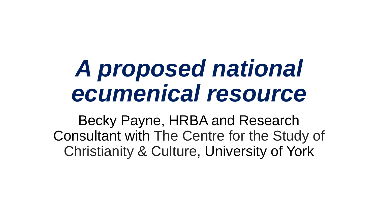## *A proposed national ecumenical resource*

Becky Payne, HRBA and Research Consultant with The Centre for the Study of Christianity & Culture, University of York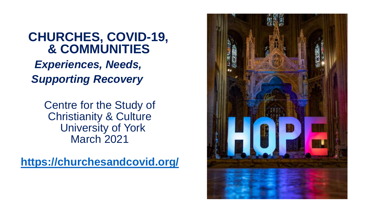## **CHURCHES, COVID-19, & COMMUNITIES** *Experiences, Needs, Supporting Recovery*

Centre for the Study of Christianity & Culture University of York March 2021

**<https://churchesandcovid.org/>**

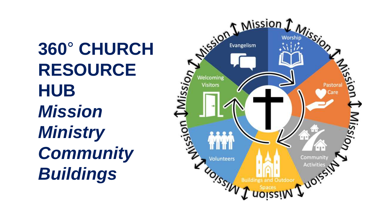**360**° **CHURCH RESOURCE HUB** *Mission Ministry Community Buildings* 

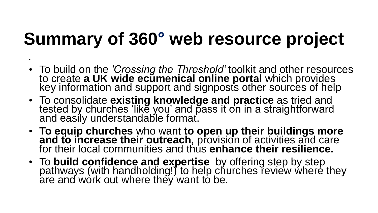## **Summary of 360° web resource project**

•

- To build on the *'Crossing the Threshold'* toolkit and other resources to create **a UK wide ecumenical online portal** which provides key information and support and signposts other sources of help
- To consolidate **existing knowledge and practice** as tried and tested by churches 'like you' and pass it on in a straightforward and easily understandable format.
- **To equip churches** who want **to open up their buildings more**  and to increase their outreach, provision of activities and care for their local communities and thus enhance their resilience.
- To **build confidence and expertise** by offering step by step pathways (with handholding!) to help churches review where they are and work out where they want to be.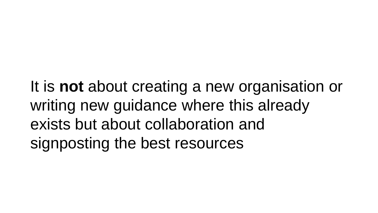It is **not** about creating a new organisation or writing new guidance where this already exists but about collaboration and signposting the best resources